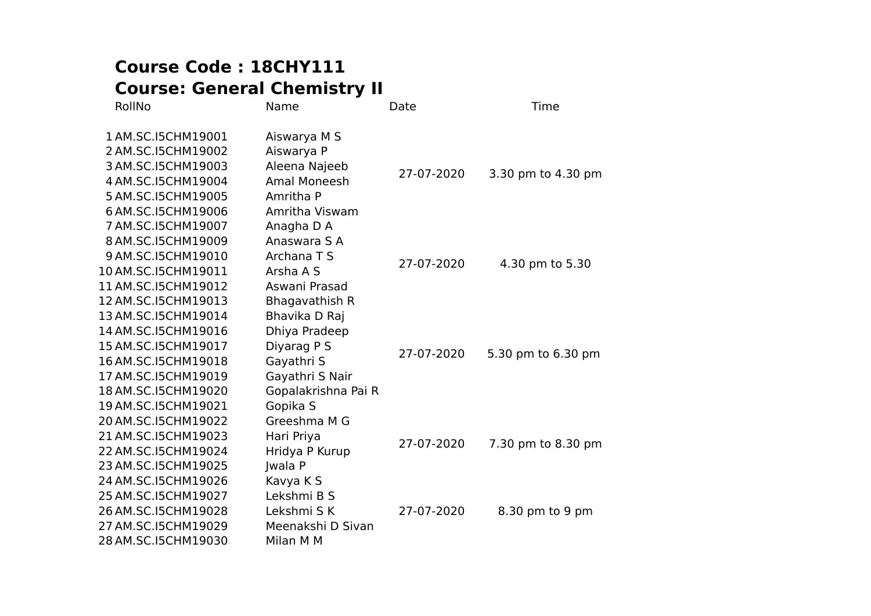## **Course Code : 18CHY111 Course: General Chemistry II**

| RollNo              | Name                | Date       | Time               |
|---------------------|---------------------|------------|--------------------|
| 1 AM.SC.I5CHM19001  | Aiswarya M S        |            |                    |
| 2 AM.SC.I5CHM19002  | Aiswarya P          |            |                    |
| 3 AM.SC.I5CHM19003  | Aleena Najeeb       | 27-07-2020 |                    |
| 4 AM.SC.I5CHM19004  | <b>Amal Moneesh</b> |            | 3.30 pm to 4.30 pm |
| 5 AM.SC.I5CHM19005  | Amritha P           |            |                    |
| 6 AM.SC.I5CHM19006  | Amritha Viswam      |            |                    |
| 7 AM.SC.I5CHM19007  | Anagha D A          |            |                    |
| 8 AM.SC.I5CHM19009  | Anaswara S A        |            |                    |
| 9 AM.SC.I5CHM19010  | Archana T S         | 27-07-2020 | 4.30 pm to 5.30    |
| 10 AM.SC.I5CHM19011 | Arsha A S           |            |                    |
| 11 AM.SC.I5CHM19012 | Aswani Prasad       |            |                    |
| 12 AM.SC.I5CHM19013 | Bhagavathish R      |            |                    |
| 13 AM.SC.I5CHM19014 | Bhavika D Raj       |            |                    |
| 14 AM.SC.I5CHM19016 | Dhiya Pradeep       |            |                    |
| 15 AM.SC.I5CHM19017 | Diyarag P S         | 27-07-2020 | 5.30 pm to 6.30 pm |
| 16 AM.SC.I5CHM19018 | Gayathri S          |            |                    |
| 17 AM.SC.I5CHM19019 | Gayathri S Nair     |            |                    |
| 18 AM.SC.I5CHM19020 | Gopalakrishna Pai R |            |                    |
| 19 AM.SC.I5CHM19021 | Gopika S            |            |                    |
| 20 AM.SC.I5CHM19022 | Greeshma M G        |            |                    |
| 21 AM.SC.I5CHM19023 | Hari Priya          | 27-07-2020 |                    |
| 22 AM.SC.I5CHM19024 | Hridya P Kurup      |            | 7.30 pm to 8.30 pm |
| 23 AM.SC.I5CHM19025 | <b>Jwala P</b>      |            |                    |
| 24 AM.SC.I5CHM19026 | Kavya K S           |            |                    |
| 25 AM.SC.I5CHM19027 | Lekshmi B S         |            |                    |
| 26 AM.SC.I5CHM19028 | Lekshmi S K         | 27-07-2020 | 8.30 pm to 9 pm    |
| 27 AM.SC.I5CHM19029 | Meenakshi D Sivan   |            |                    |
| 28 AM.SC.I5CHM19030 | Milan M M           |            |                    |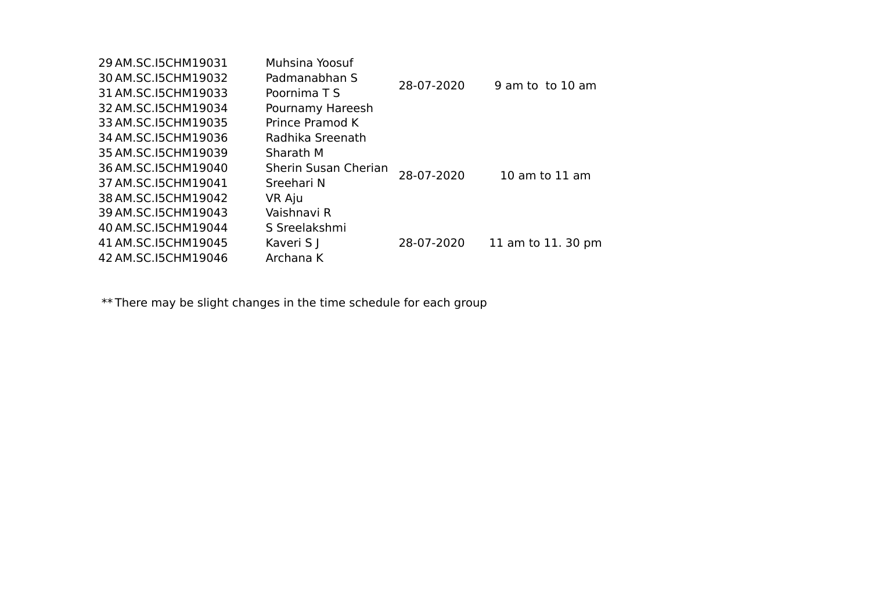| 29 AM.SC.15CHM19031   | Muhsina Yoosuf       |            |                    |
|-----------------------|----------------------|------------|--------------------|
| 30 AM.SC.15 CHM 19032 | Padmanabhan S        | 28-07-2020 | 9 am to to 10 am   |
| 31 AM.SC.I5CHM19033   | Poornima T S         |            |                    |
| 32 AM.SC.I5CHM19034   | Pournamy Hareesh     |            |                    |
| 33 AM.SC.I5CHM19035   | Prince Pramod K      |            |                    |
| 34 AM.SC.I5CHM19036   | Radhika Sreenath     |            |                    |
| 35 AM.SC.I5CHM19039   | Sharath M            |            |                    |
| 36 AM.SC.I5CHM19040   | Sherin Susan Cherian | 28-07-2020 | $10$ am to $11$ am |
| 37 AM.SC.I5CHM19041   | Sreehari N           |            |                    |
| 38 AM.SC.I5CHM19042   | VR Aju               |            |                    |
| 39 AM.SC.I5CHM19043   | Vaishnavi R          |            |                    |
| 40 AM.SC.15CHM19044   | S Sreelakshmi        |            |                    |
| 41 AM.SC.I5CHM19045   | Kaveri S J           | 28-07-2020 | 11 am to 11. 30 pm |
| 42 AM.SC.I5CHM19046   | Archana K            |            |                    |
|                       |                      |            |                    |

\*\* There may be slight changes in the time schedule for each group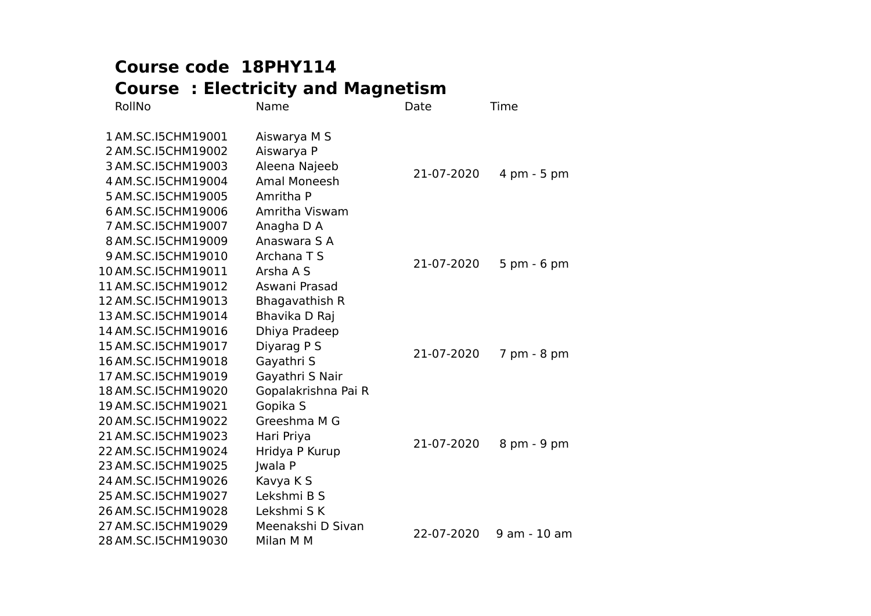## **Course code 18PHY114 Course : Electricity and Magnetism**

| RollNo              | Name                | Date       | Time           |
|---------------------|---------------------|------------|----------------|
| 1 AM.SC.I5CHM19001  | Aiswarya M S        |            |                |
| 2 AM.SC.I5CHM19002  | Aiswarya P          |            |                |
| 3 AM.SC.I5CHM19003  | Aleena Najeeb       | 21-07-2020 | 4 pm - 5 pm    |
| 4 AM.SC.I5CHM19004  | <b>Amal Moneesh</b> |            |                |
| 5 AM.SC.I5CHM19005  | Amritha P           |            |                |
| 6 AM.SC.I5CHM19006  | Amritha Viswam      |            |                |
| 7 AM.SC.I5CHM19007  | Anagha D A          |            |                |
| 8 AM.SC.I5CHM19009  | Anaswara S A        |            |                |
| 9 AM.SC.I5CHM19010  | Archana T S         | 21-07-2020 | $5$ pm $-6$ pm |
| 10 AM.SC.I5CHM19011 | Arsha A S           |            |                |
| 11 AM.SC.I5CHM19012 | Aswani Prasad       |            |                |
| 12 AM.SC.I5CHM19013 | Bhagavathish R      |            |                |
| 13 AM.SC.I5CHM19014 | Bhavika D Raj       |            |                |
| 14 AM.SC.I5CHM19016 | Dhiya Pradeep       |            |                |
| 15 AM.SC.I5CHM19017 | Diyarag P S         | 21-07-2020 | 7 pm - 8 pm    |
| 16 AM.SC.I5CHM19018 | Gayathri S          |            |                |
| 17 AM.SC.I5CHM19019 | Gayathri S Nair     |            |                |
| 18 AM.SC.I5CHM19020 | Gopalakrishna Pai R |            |                |
| 19 AM.SC.I5CHM19021 | Gopika S            |            |                |
| 20 AM.SC.I5CHM19022 | Greeshma M G        |            |                |
| 21 AM.SC.I5CHM19023 | Hari Priya          | 21-07-2020 | 8 pm - 9 pm    |
| 22 AM.SC.I5CHM19024 | Hridya P Kurup      |            |                |
| 23 AM.SC.I5CHM19025 | <b>Iwala P</b>      |            |                |
| 24 AM.SC.I5CHM19026 | Kavya K S           |            |                |
| 25 AM.SC.I5CHM19027 | Lekshmi B S         |            |                |
| 26 AM.SC.I5CHM19028 | Lekshmi S K         |            |                |
| 27 AM.SC.I5CHM19029 | Meenakshi D Sivan   | 22-07-2020 | 9 am - 10 am   |
| 28 AM.SC.I5CHM19030 | Milan M M           |            |                |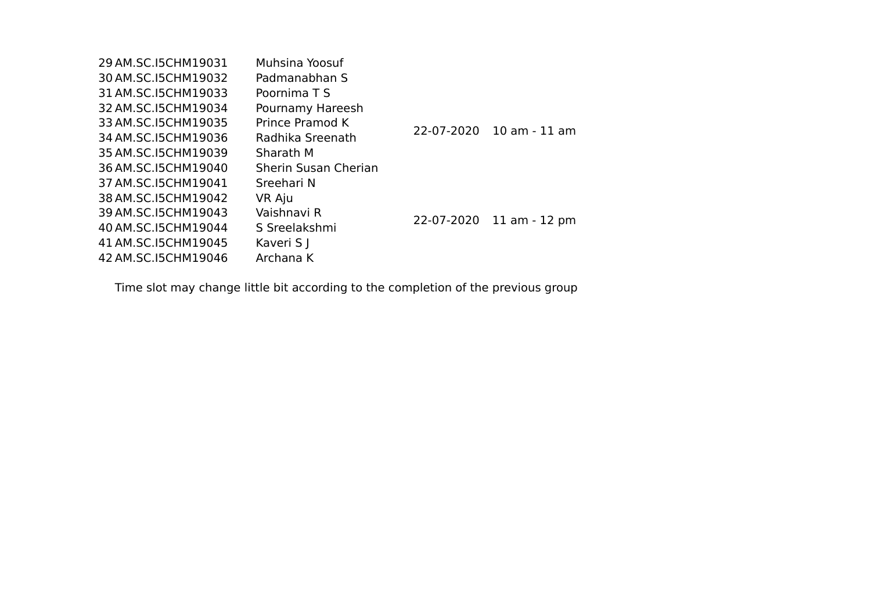| 29 AM.SC.15CHM19031   | Muhsina Yoosuf       |            |                          |
|-----------------------|----------------------|------------|--------------------------|
| 30 AM.SC.15 CHM 19032 | Padmanabhan S        |            |                          |
| 31 AM.SC.I5CHM19033   | Poornima T S         |            |                          |
| 32 AM.SC.I5CHM19034   | Pournamy Hareesh     |            |                          |
| 33 AM.SC.I5CHM19035   | Prince Pramod K      | 22-07-2020 | $10$ am - $11$ am        |
| 34 AM.SC.I5CHM19036   | Radhika Sreenath     |            |                          |
| 35 AM.SC.I5CHM19039   | Sharath M            |            |                          |
| 36 AM.SC.I5CHM19040   | Sherin Susan Cherian |            |                          |
| 37 AM.SC.15CHM19041   | Sreehari N           |            |                          |
| 38 AM.SC.15 CHM 19042 | VR Aju               |            |                          |
| 39 AM.SC.I5CHM19043   | Vaishnavi R          |            | 22-07-2020 11 am - 12 pm |
| 40 AM.SC.15CHM19044   | S Sreelakshmi        |            |                          |
| 41 AM.SC.I5CHM19045   | Kaveri S J           |            |                          |
| 42 AM.SC.I5CHM19046   | Archana K            |            |                          |
|                       |                      |            |                          |

Time slot may change little bit according to the completion of the previous group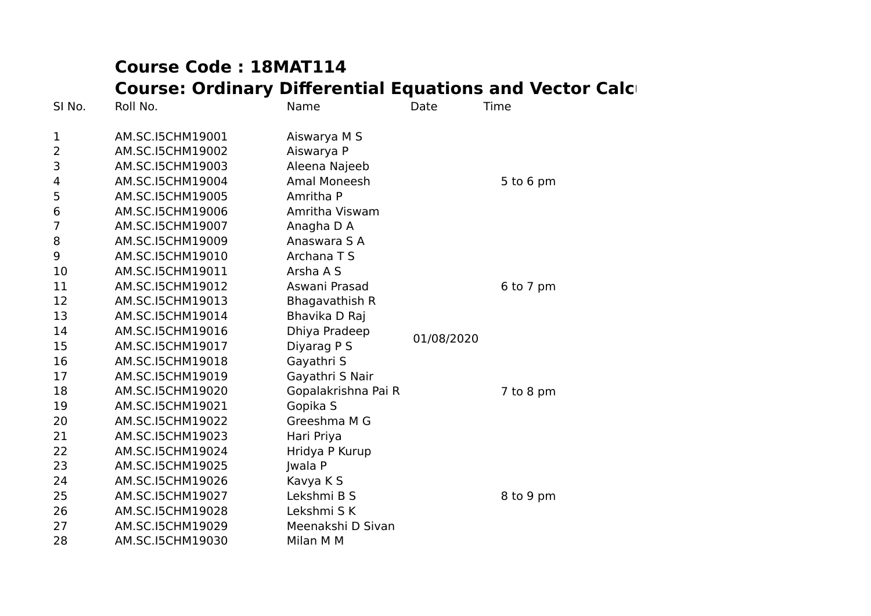# **Course Code : 18MAT114 Course: Ordinary Differential Equations and Vector Calculus**

| SI No.         | Roll No.         | Name                | Date       | Time        |
|----------------|------------------|---------------------|------------|-------------|
| $\mathbf 1$    | AM.SC.I5CHM19001 | Aiswarya M S        |            |             |
| 2              | AM.SC.I5CHM19002 | Aiswarya P          |            |             |
| 3              | AM.SC.I5CHM19003 | Aleena Najeeb       |            |             |
| 4              | AM.SC.I5CHM19004 | <b>Amal Moneesh</b> |            | $5$ to 6 pm |
| 5              | AM.SC.I5CHM19005 | Amritha P           |            |             |
| 6              | AM.SC.I5CHM19006 | Amritha Viswam      |            |             |
| $\overline{7}$ | AM.SC.I5CHM19007 | Anagha D A          |            |             |
| 8              | AM.SC.I5CHM19009 | Anaswara S A        |            |             |
| 9              | AM.SC.I5CHM19010 | Archana T S         |            |             |
| 10             | AM.SC.I5CHM19011 | Arsha A S           |            |             |
| 11             | AM.SC.I5CHM19012 | Aswani Prasad       |            | 6 to 7 pm   |
| 12             | AM.SC.I5CHM19013 | Bhagavathish R      |            |             |
| 13             | AM.SC.I5CHM19014 | Bhavika D Raj       |            |             |
| 14             | AM.SC.I5CHM19016 | Dhiya Pradeep       | 01/08/2020 |             |
| 15             | AM.SC.I5CHM19017 | Diyarag P S         |            |             |
| 16             | AM.SC.I5CHM19018 | Gayathri S          |            |             |
| 17             | AM.SC.I5CHM19019 | Gayathri S Nair     |            |             |
| 18             | AM.SC.I5CHM19020 | Gopalakrishna Pai R |            | 7 to 8 pm   |
| 19             | AM.SC.I5CHM19021 | Gopika S            |            |             |
| 20             | AM.SC.I5CHM19022 | Greeshma M G        |            |             |
| 21             | AM.SC.I5CHM19023 | Hari Priya          |            |             |
| 22             | AM.SC.I5CHM19024 | Hridya P Kurup      |            |             |
| 23             | AM.SC.I5CHM19025 | Jwala P             |            |             |
| 24             | AM.SC.I5CHM19026 | Kavya K S           |            |             |
| 25             | AM.SC.I5CHM19027 | Lekshmi B S         |            | 8 to 9 pm   |
| 26             | AM.SC.I5CHM19028 | Lekshmi S K         |            |             |
| 27             | AM.SC.I5CHM19029 | Meenakshi D Sivan   |            |             |
| 28             | AM.SC.I5CHM19030 | Milan M M           |            |             |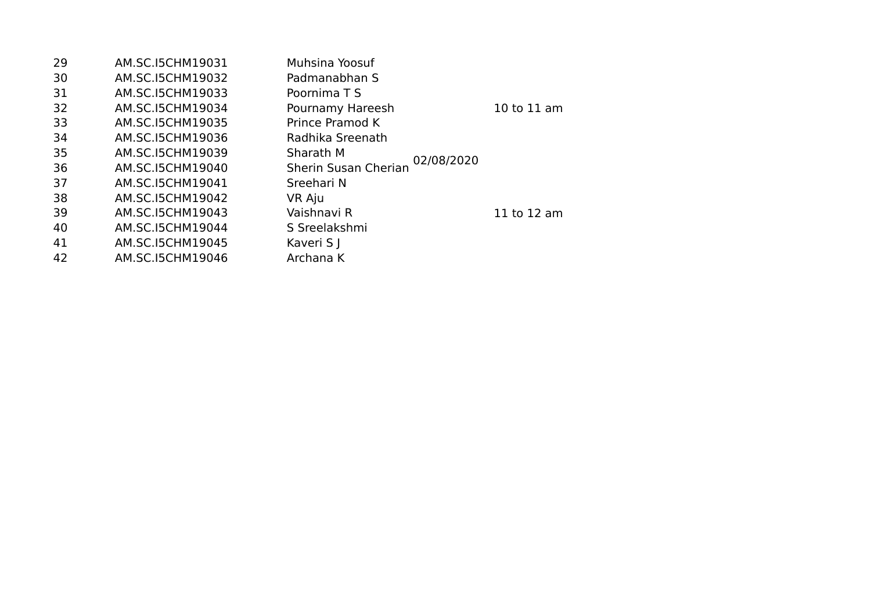| 29 | AM.SC.I5CHM19031 | Muhsina Yoosuf                     |             |
|----|------------------|------------------------------------|-------------|
| 30 | AM.SC.I5CHM19032 | Padmanabhan S                      |             |
| 31 | AM.SC.I5CHM19033 | Poornima T S                       |             |
| 32 | AM.SC.I5CHM19034 | Pournamy Hareesh                   | 10 to 11 am |
| 33 | AM.SC.I5CHM19035 | Prince Pramod K                    |             |
| 34 | AM.SC.I5CHM19036 | Radhika Sreenath                   |             |
| 35 | AM.SC.I5CHM19039 | Sharath M                          |             |
| 36 | AM.SC.I5CHM19040 | 02/08/2020<br>Sherin Susan Cherian |             |
| 37 | AM.SC.I5CHM19041 | Sreehari N                         |             |
| 38 | AM.SC.I5CHM19042 | VR Aju                             |             |
| 39 | AM.SC.I5CHM19043 | Vaishnavi R                        | 11 to 12 am |
| 40 | AM.SC.I5CHM19044 | S Sreelakshmi                      |             |
| 41 | AM.SC.I5CHM19045 | Kaveri S J                         |             |
| 42 | AM.SC.I5CHM19046 | Archana K                          |             |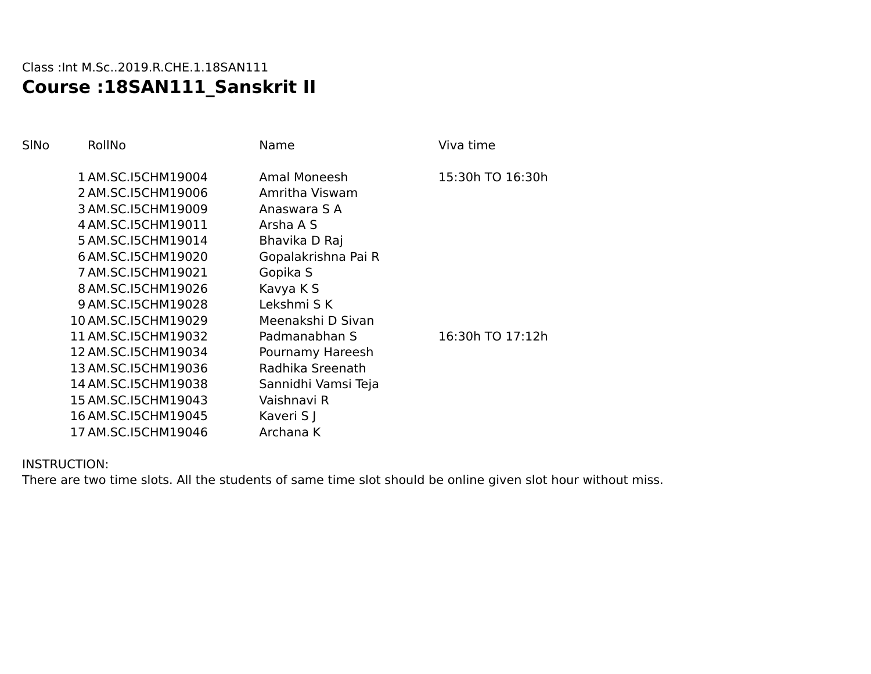### Class :Int M.Sc..2019.R.CHE.1.18SAN111 **Course :18SAN111\_Sanskrit II**

| SINo | RollNo              | Name                | Viva time        |
|------|---------------------|---------------------|------------------|
|      | 1 AM.SC.I5CHM19004  | Amal Moneesh        | 15:30h TO 16:30h |
|      | 2 AM.SC.I5CHM19006  | Amritha Viswam      |                  |
|      | 3 AM.SC.I5CHM19009  | Anaswara S A        |                  |
|      | 4 AM.SC.I5CHM19011  | Arsha A S           |                  |
|      | 5 AM.SC.I5CHM19014  | Bhavika D Raj       |                  |
|      | 6 AM.SC.I5CHM19020  | Gopalakrishna Pai R |                  |
|      | 7 AM.SC.I5CHM19021  | Gopika S            |                  |
|      | 8 AM.SC.I5CHM19026  | Kavya K S           |                  |
|      | 9 AM.SC.I5CHM19028  | Lekshmi S K         |                  |
|      | 10 AM.SC.I5CHM19029 | Meenakshi D Sivan   |                  |
|      | 11 AM.SC.I5CHM19032 | Padmanabhan S       | 16:30h TO 17:12h |
|      | 12 AM.SC.I5CHM19034 | Pournamy Hareesh    |                  |
|      | 13 AM.SC.I5CHM19036 | Radhika Sreenath    |                  |
|      | 14 AM.SC.I5CHM19038 | Sannidhi Vamsi Teja |                  |
|      | 15 AM.SC.I5CHM19043 | Vaishnavi R         |                  |
|      | 16 AM.SC.I5CHM19045 | Kaveri S J          |                  |
|      | 17 AM.SC.I5CHM19046 | Archana K           |                  |
|      |                     |                     |                  |

#### INSTRUCTION:

There are two time slots. All the students of same time slot should be online given slot hour without miss.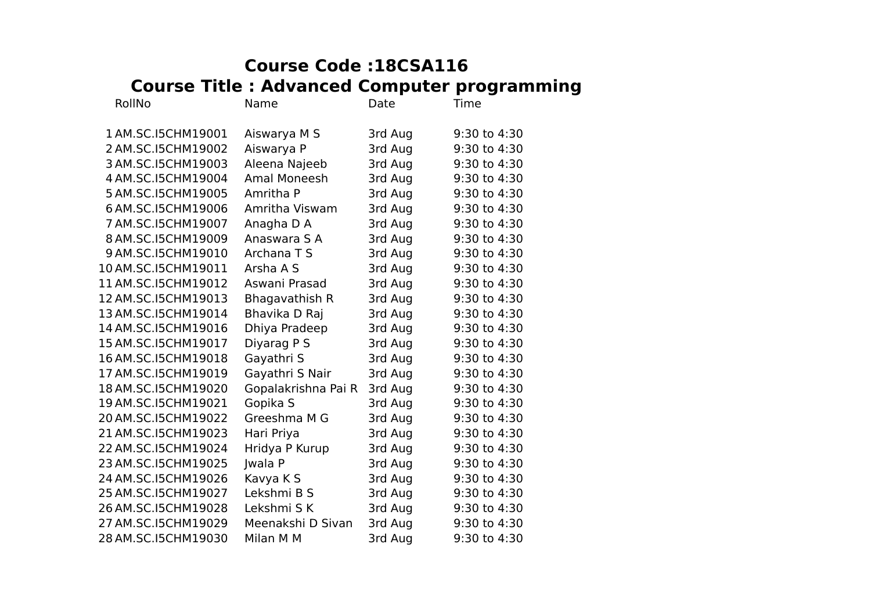## **Course Code :18CSA116 Course Title : Advanced Computer programming**

| RollNo              | Name                | Date    | Time         |
|---------------------|---------------------|---------|--------------|
| 1 AM.SC.I5CHM19001  | Aiswarya M S        | 3rd Aug | 9:30 to 4:30 |
| 2 AM.SC.I5CHM19002  | Aiswarya P          | 3rd Aug | 9:30 to 4:30 |
| 3 AM.SC.I5CHM19003  | Aleena Najeeb       | 3rd Aug | 9:30 to 4:30 |
| 4 AM.SC.I5CHM19004  | Amal Moneesh        | 3rd Aug | 9:30 to 4:30 |
| 5 AM.SC.I5CHM19005  | Amritha P           | 3rd Aug | 9:30 to 4:30 |
| 6 AM.SC.I5CHM19006  | Amritha Viswam      | 3rd Aug | 9:30 to 4:30 |
| 7 AM.SC.I5CHM19007  | Anagha D A          | 3rd Aug | 9:30 to 4:30 |
| 8 AM.SC.I5CHM19009  | Anaswara S A        | 3rd Aug | 9:30 to 4:30 |
| 9 AM.SC.I5CHM19010  | Archana T S         | 3rd Aug | 9:30 to 4:30 |
| 10 AM.SC.I5CHM19011 | Arsha A S           | 3rd Aug | 9:30 to 4:30 |
| 11 AM.SC.I5CHM19012 | Aswani Prasad       | 3rd Aug | 9:30 to 4:30 |
| 12 AM.SC.I5CHM19013 | Bhagavathish R      | 3rd Aug | 9:30 to 4:30 |
| 13 AM.SC.I5CHM19014 | Bhavika D Raj       | 3rd Aug | 9:30 to 4:30 |
| 14 AM.SC.I5CHM19016 | Dhiya Pradeep       | 3rd Aug | 9:30 to 4:30 |
| 15 AM.SC.I5CHM19017 | Diyarag P S         | 3rd Aug | 9:30 to 4:30 |
| 16 AM.SC.I5CHM19018 | Gayathri S          | 3rd Aug | 9:30 to 4:30 |
| 17 AM.SC.I5CHM19019 | Gayathri S Nair     | 3rd Aug | 9:30 to 4:30 |
| 18 AM.SC.I5CHM19020 | Gopalakrishna Pai R | 3rd Aug | 9:30 to 4:30 |
| 19 AM.SC.I5CHM19021 | Gopika S            | 3rd Aug | 9:30 to 4:30 |
| 20 AM.SC.I5CHM19022 | Greeshma M G        | 3rd Aug | 9:30 to 4:30 |
| 21 AM.SC.I5CHM19023 | Hari Priya          | 3rd Aug | 9:30 to 4:30 |
| 22 AM.SC.I5CHM19024 | Hridya P Kurup      | 3rd Aug | 9:30 to 4:30 |
| 23 AM.SC.I5CHM19025 | <b>Jwala P</b>      | 3rd Aug | 9:30 to 4:30 |
| 24 AM.SC.I5CHM19026 | Kavya K S           | 3rd Aug | 9:30 to 4:30 |
| 25 AM.SC.I5CHM19027 | Lekshmi B S         | 3rd Aug | 9:30 to 4:30 |
| 26 AM.SC.I5CHM19028 | Lekshmi S K         | 3rd Aug | 9:30 to 4:30 |
| 27 AM.SC.I5CHM19029 | Meenakshi D Sivan   | 3rd Aug | 9:30 to 4:30 |
| 28 AM.SC.I5CHM19030 | Milan M M           | 3rd Aug | 9:30 to 4:30 |